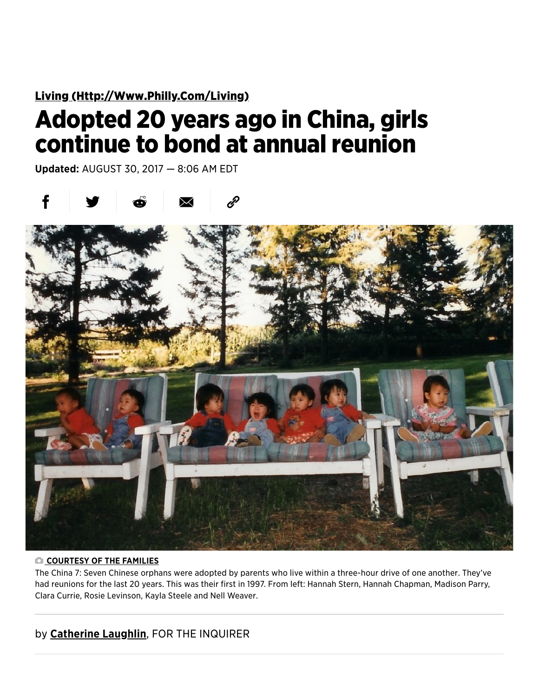Living (Http://Www[.Philly.Com/Living\)](http://www.philly.com/living)

## Adopted 20 years ago in China, girls continue to bond at annual reunion

Updated: AUGUST 30, 2017 — 8:06 AM EDT





## COURTESY OF THE FAMILIES

The China 7: Seven Chinese orphans were adopted by parents who live within a three-hour drive of one another. They've had reunions for the last 20 years. This was their first in 1997. From left: Hannah Stern, Hannah Chapman, Madison Parry, Clara Currie, Rosie Levinson, Kayla Steele and Nell Weaver.

## by Catherine Laughlin, FOR THE INQUIRER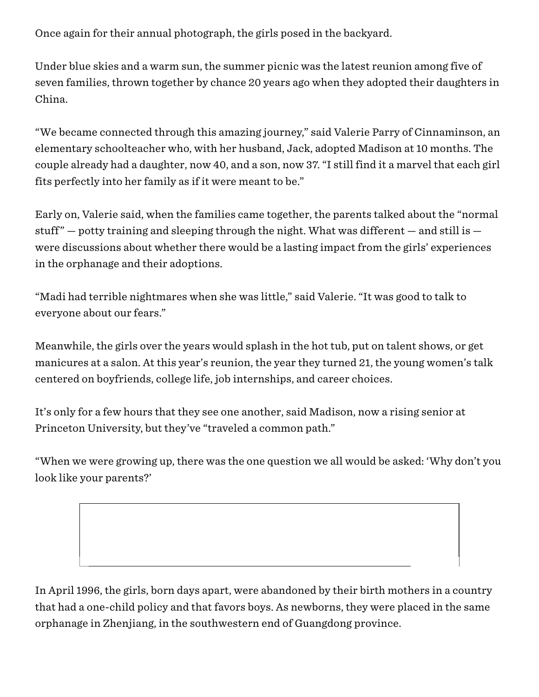Once again for their annual photograph, the girls posed in the backyard.

Under blue skies and a warm sun, the summer picnic was the latest reunion among five of seven families, thrown together by chance 20 years ago when they adopted their daughters in China.

"We became connected through this amazing journey," said Valerie Parry of Cinnaminson, an elementary schoolteacher who, with her husband, Jack, adopted Madison at 10 months. The couple already had a daughter, now 40, and a son, now 37. "I still find it a marvel that each girl fits perfectly into her family as if it were meant to be."

Early on, Valerie said, when the families came together, the parents talked about the "normal stuff"  $-$  potty training and sleeping through the night. What was different  $-$  and still is  $$ were discussions about whether there would be a lasting impact from the girls' experiences in the orphanage and their adoptions.

"Madi had terrible nightmares when she was little," said Valerie. "It was good to talk to everyone about our fears."

Meanwhile, the girls over the years would splash in the hot tub, put on talent shows, or get manicures at a salon. At this year's reunion, the year they turned 21, the young women's talk centered on boyfriends, college life, job internships, and career choices.

It's only for a few hours that they see one another, said Madison, now a rising senior at Princeton University, but they've "traveled a common path."

"When we were growing up, there was the one question we all would be asked: 'Why don't you look like your parents?'

In April 1996, the girls, born days apart, were abandoned by their birth mothers in a country that had a one-child policy and that favors boys. As newborns, they were placed in the same orphanage in Zhenjiang, in the southwestern end of Guangdong province.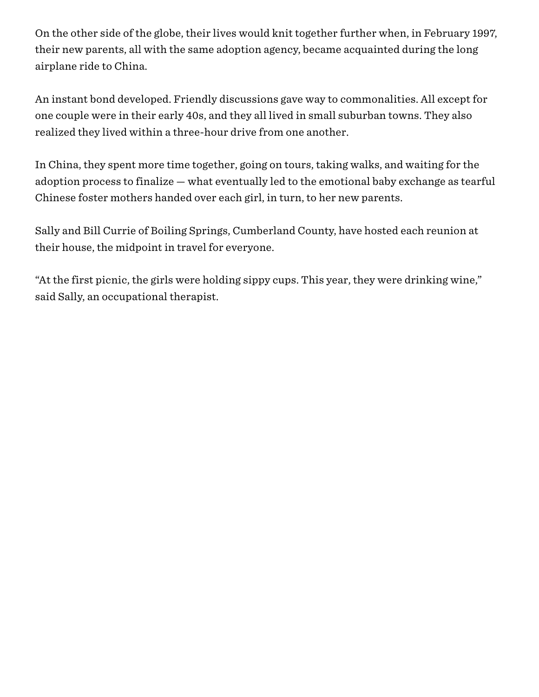On the other side of the globe, their lives would knit together further when, in February 1997, their new parents, all with the same adoption agency, became acquainted during the long airplane ride to China.

An instant bond developed. Friendly discussions gave way to commonalities. All except for one couple were in their early 40s, and they all lived in small suburban towns. They also realized they lived within a three-hour drive from one another.

In China, they spent more time together, going on tours, taking walks, and waiting for the adoption process to finalize — what eventually led to the emotional baby exchange as tearful Chinese foster mothers handed over each girl, in turn, to her new parents.

Sally and Bill Currie of Boiling Springs, Cumberland County, have hosted each reunion at their house, the midpoint in travel for everyone.

"At the first picnic, the girls were holding sippy cups. This year, they were drinking wine," said Sally, an occupational therapist.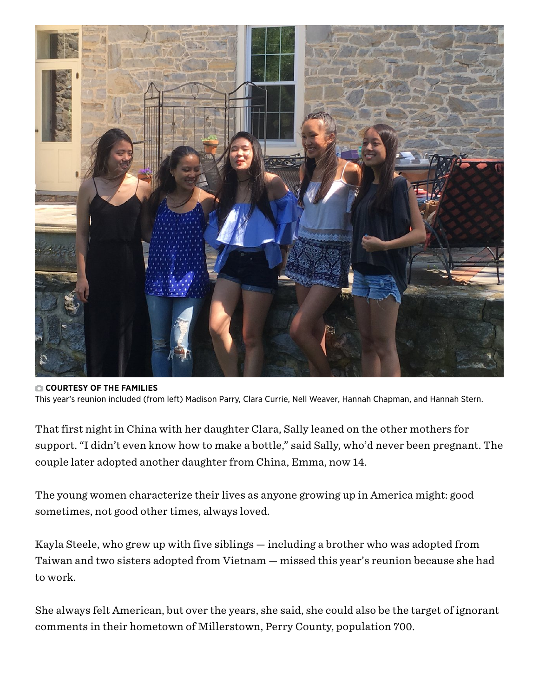

COURTESY OF THE FAMILIES This year's reunion included (from left) Madison Parry, Clara Currie, Nell Weaver, Hannah Chapman, and Hannah Stern.

That first night in China with her daughter Clara, Sally leaned on the other mothers for support. "I didn't even know how to make a bottle," said Sally, who'd never been pregnant. The couple later adopted another daughter from China, Emma, now 14.

The young women characterize their lives as anyone growing up in America might: good sometimes, not good other times, always loved.

Kayla Steele, who grew up with five siblings — including a brother who was adopted from Taiwan and two sisters adopted from Vietnam — missed this year's reunion because she had to work.

She always felt American, but over the years, she said, she could also be the target of ignorant comments in their hometown of Millerstown, Perry County, population 700.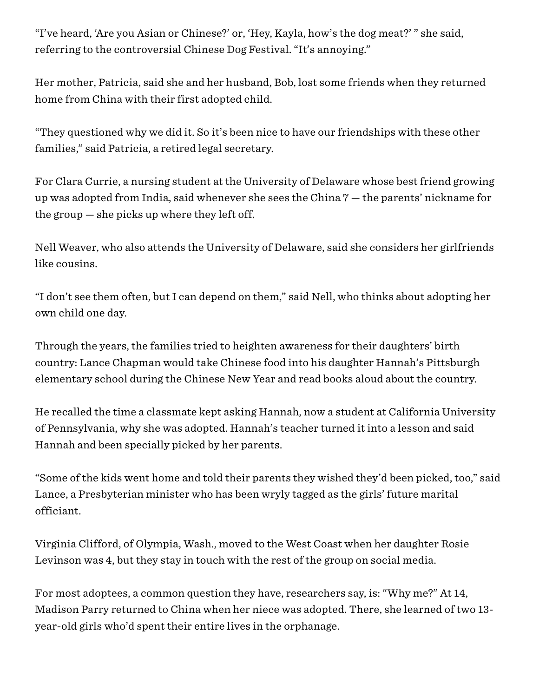"I've heard, 'Are you Asian or Chinese?' or, 'Hey, Kayla, how's the dog meat?' " she said, referring to the controversial Chinese Dog Festival. "It's annoying."

Her mother, Patricia, said she and her husband, Bob, lost some friends when they returned home from China with their first adopted child.

"They questioned why we did it. So it's been nice to have our friendships with these other families," said Patricia, a retired legal secretary.

For Clara Currie, a nursing student at the University of Delaware whose best friend growing up was adopted from India, said whenever she sees the China 7 — the parents' nickname for the group — she picks up where they left off.

Nell Weaver, who also attends the University of Delaware, said she considers her girlfriends like cousins.

"I don't see them often, but I can depend on them," said Nell, who thinks about adopting her own child one day.

Through the years, the families tried to heighten awareness for their daughters' birth country: Lance Chapman would take Chinese food into his daughter Hannah's Pittsburgh elementary school during the Chinese New Year and read books aloud about the country.

He recalled the time a classmate kept asking Hannah, now a student at California University of Pennsylvania, why she was adopted. Hannah's teacher turned it into a lesson and said Hannah and been specially picked by her parents.

"Some of the kids went home and told their parents they wished they'd been picked, too," said Lance, a Presbyterian minister who has been wryly tagged as the girls' future marital officiant.

Virginia Clifford, of Olympia, Wash., moved to the West Coast when her daughter Rosie Levinson was 4, but they stay in touch with the rest of the group on social media.

For most adoptees, a common question they have, researchers say, is: "Why me?" At 14, Madison Parry returned to China when her niece was adopted. There, she learned of two 13 year-old girls who'd spent their entire lives in the orphanage.